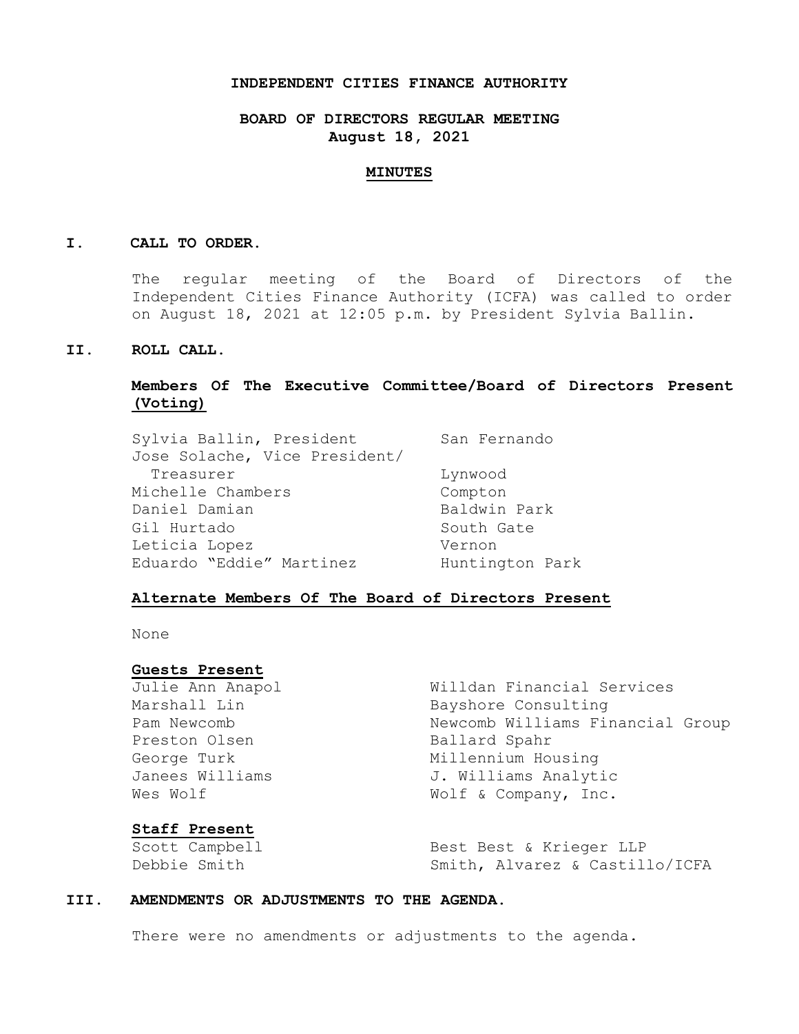### **INDEPENDENT CITIES FINANCE AUTHORITY**

## **BOARD OF DIRECTORS REGULAR MEETING August 18, 2021**

#### **MINUTES**

#### **I. CALL TO ORDER.**

The regular meeting of the Board of Directors of the Independent Cities Finance Authority (ICFA) was called to order on August 18, 2021 at 12:05 p.m. by President Sylvia Ballin.

## **II. ROLL CALL.**

## **Members Of The Executive Committee/Board of Directors Present (Voting)**

| Sylvia Ballin, President      | San Fernando    |
|-------------------------------|-----------------|
| Jose Solache, Vice President/ |                 |
| Treasurer                     | Lynwood         |
| Michelle Chambers             | Compton         |
| Daniel Damian                 | Baldwin Park    |
| Gil Hurtado                   | South Gate      |
| Leticia Lopez                 | Vernon          |
| Eduardo "Eddie" Martinez      | Huntington Park |

### **Alternate Members Of The Board of Directors Present**

None

#### **Guests Present**

Preston Olsen Ballard Spahr

Julie Ann Anapol Willdan Financial Services Marshall Lin Bayshore Consulting Pam Newcomb 1997 Newcomb Williams Financial Group George Turk Millennium Housing Janees Williams 3. Williams Analytic Wes Wolf  $W$  Wolf & Company, Inc.

#### **Staff Present**

Scott Campbell Best Best & Krieger LLP Debbie Smith Smith, Alvarez & Castillo/ICFA

#### **III. AMENDMENTS OR ADJUSTMENTS TO THE AGENDA.**

There were no amendments or adjustments to the agenda.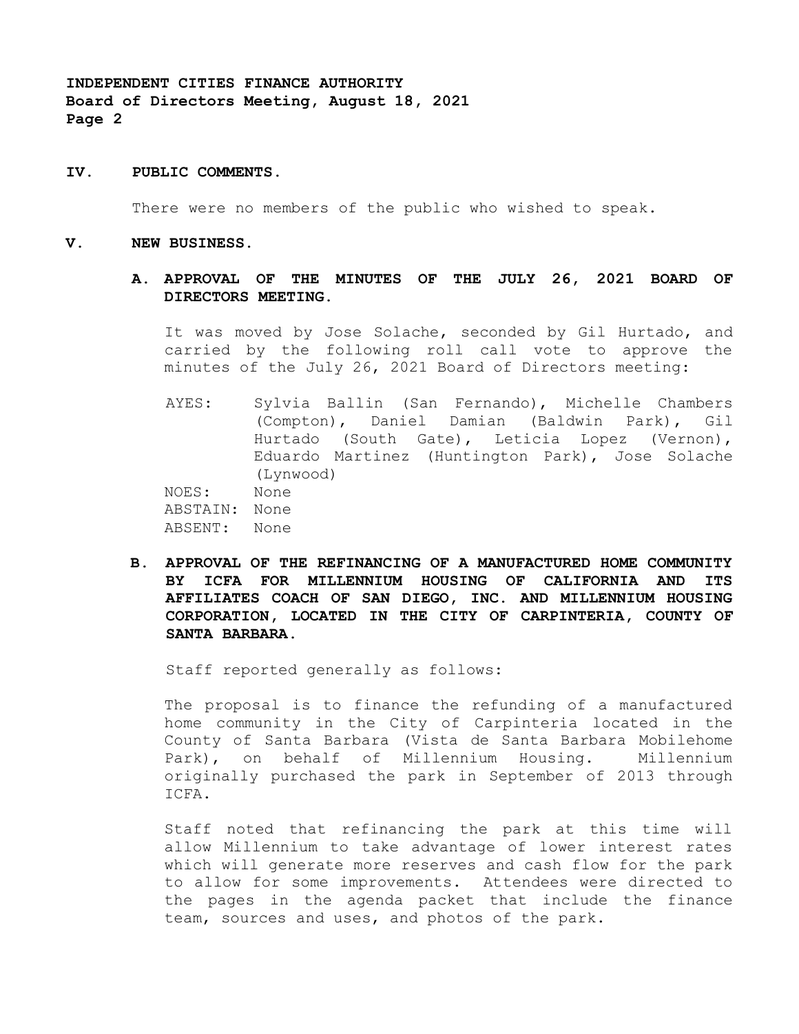### **IV. PUBLIC COMMENTS.**

There were no members of the public who wished to speak.

#### **V. NEW BUSINESS.**

## **A. APPROVAL OF THE MINUTES OF THE JULY 26, 2021 BOARD OF DIRECTORS MEETING.**

It was moved by Jose Solache, seconded by Gil Hurtado, and carried by the following roll call vote to approve the minutes of the July 26, 2021 Board of Directors meeting:

AYES: Sylvia Ballin (San Fernando), Michelle Chambers (Compton), Daniel Damian (Baldwin Park), Gil Hurtado (South Gate), Leticia Lopez (Vernon), Eduardo Martinez (Huntington Park), Jose Solache (Lynwood) NOES: None ABSTAIN: None

ABSENT: None

**B. APPROVAL OF THE REFINANCING OF A MANUFACTURED HOME COMMUNITY BY ICFA FOR MILLENNIUM HOUSING OF CALIFORNIA AND ITS AFFILIATES COACH OF SAN DIEGO, INC. AND MILLENNIUM HOUSING CORPORATION, LOCATED IN THE CITY OF CARPINTERIA, COUNTY OF SANTA BARBARA.**

Staff reported generally as follows:

The proposal is to finance the refunding of a manufactured home community in the City of Carpinteria located in the County of Santa Barbara (Vista de Santa Barbara Mobilehome Park), on behalf of Millennium Housing. Millennium originally purchased the park in September of 2013 through ICFA.

Staff noted that refinancing the park at this time will allow Millennium to take advantage of lower interest rates which will generate more reserves and cash flow for the park to allow for some improvements. Attendees were directed to the pages in the agenda packet that include the finance team, sources and uses, and photos of the park.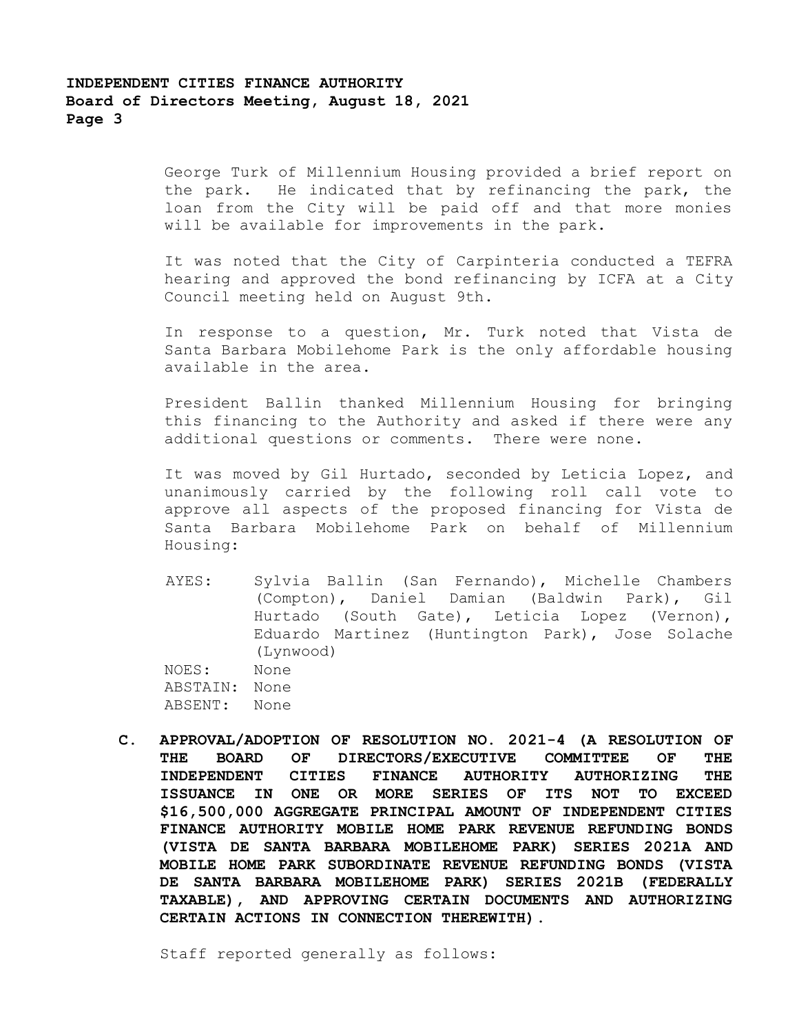George Turk of Millennium Housing provided a brief report on the park. He indicated that by refinancing the park, the loan from the City will be paid off and that more monies will be available for improvements in the park.

It was noted that the City of Carpinteria conducted a TEFRA hearing and approved the bond refinancing by ICFA at a City Council meeting held on August 9th.

In response to a question, Mr. Turk noted that Vista de Santa Barbara Mobilehome Park is the only affordable housing available in the area.

President Ballin thanked Millennium Housing for bringing this financing to the Authority and asked if there were any additional questions or comments. There were none.

It was moved by Gil Hurtado, seconded by Leticia Lopez, and unanimously carried by the following roll call vote to approve all aspects of the proposed financing for Vista de Santa Barbara Mobilehome Park on behalf of Millennium Housing:

AYES: Sylvia Ballin (San Fernando), Michelle Chambers (Compton), Daniel Damian (Baldwin Park), Gil Hurtado (South Gate), Leticia Lopez (Vernon), Eduardo Martinez (Huntington Park), Jose Solache (Lynwood) NOES: None

ABSTAIN: None ABSENT: None

**C. APPROVAL/ADOPTION OF RESOLUTION NO. 2021-4 (A RESOLUTION OF THE BOARD OF DIRECTORS/EXECUTIVE COMMITTEE OF THE INDEPENDENT CITIES FINANCE AUTHORITY AUTHORIZING THE ISSUANCE IN ONE OR MORE SERIES OF ITS NOT TO EXCEED \$16,500,000 AGGREGATE PRINCIPAL AMOUNT OF INDEPENDENT CITIES FINANCE AUTHORITY MOBILE HOME PARK REVENUE REFUNDING BONDS (VISTA DE SANTA BARBARA MOBILEHOME PARK) SERIES 2021A AND MOBILE HOME PARK SUBORDINATE REVENUE REFUNDING BONDS (VISTA DE SANTA BARBARA MOBILEHOME PARK) SERIES 2021B (FEDERALLY TAXABLE), AND APPROVING CERTAIN DOCUMENTS AND AUTHORIZING CERTAIN ACTIONS IN CONNECTION THEREWITH).**

Staff reported generally as follows: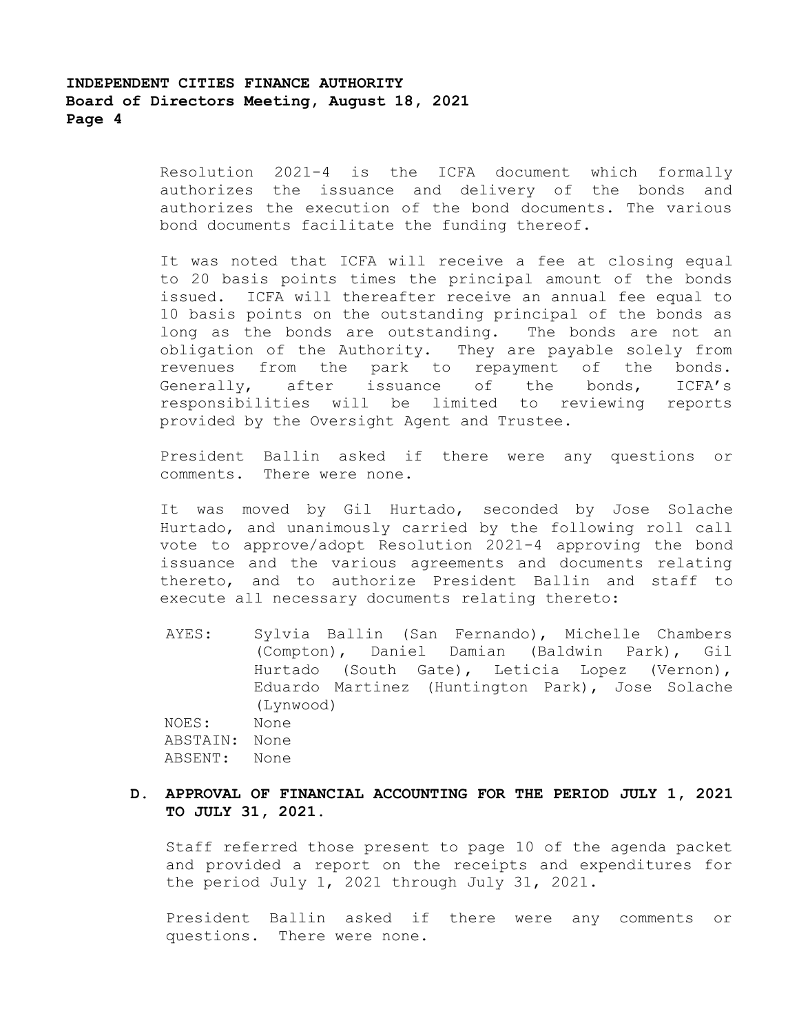Resolution 2021-4 is the ICFA document which formally authorizes the issuance and delivery of the bonds and authorizes the execution of the bond documents. The various bond documents facilitate the funding thereof.

It was noted that ICFA will receive a fee at closing equal to 20 basis points times the principal amount of the bonds issued. ICFA will thereafter receive an annual fee equal to 10 basis points on the outstanding principal of the bonds as long as the bonds are outstanding. The bonds are not an obligation of the Authority. They are payable solely from revenues from the park to repayment of the bonds. Generally, after issuance of the bonds, ICFA's responsibilities will be limited to reviewing reports provided by the Oversight Agent and Trustee.

President Ballin asked if there were any questions or comments. There were none.

It was moved by Gil Hurtado, seconded by Jose Solache Hurtado, and unanimously carried by the following roll call vote to approve/adopt Resolution 2021-4 approving the bond issuance and the various agreements and documents relating thereto, and to authorize President Ballin and staff to execute all necessary documents relating thereto:

AYES: Sylvia Ballin (San Fernando), Michelle Chambers (Compton), Daniel Damian (Baldwin Park), Gil Hurtado (South Gate), Leticia Lopez (Vernon), Eduardo Martinez (Huntington Park), Jose Solache (Lynwood) NOES: None ABSTAIN: None ABSENT: None

## **D. APPROVAL OF FINANCIAL ACCOUNTING FOR THE PERIOD JULY 1, 2021 TO JULY 31, 2021.**

Staff referred those present to page 10 of the agenda packet and provided a report on the receipts and expenditures for the period July 1, 2021 through July 31, 2021.

President Ballin asked if there were any comments or questions. There were none.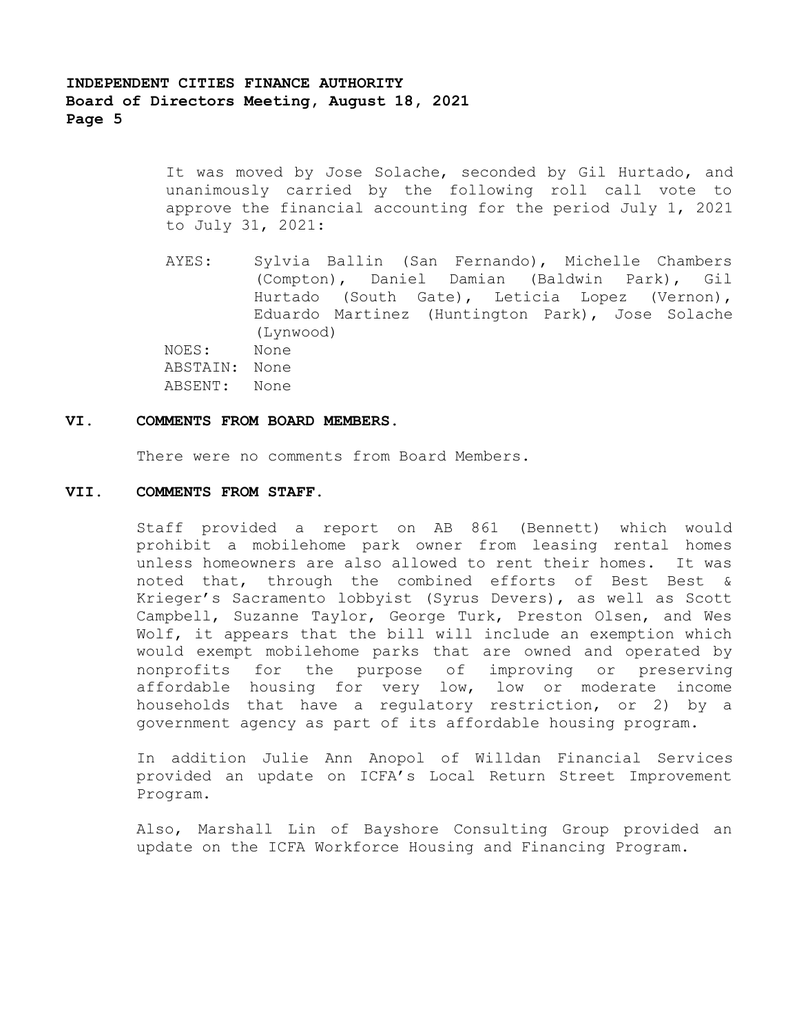It was moved by Jose Solache, seconded by Gil Hurtado, and unanimously carried by the following roll call vote to approve the financial accounting for the period July 1, 2021 to July 31, 2021:

AYES: Sylvia Ballin (San Fernando), Michelle Chambers (Compton), Daniel Damian (Baldwin Park), Gil Hurtado (South Gate), Leticia Lopez (Vernon), Eduardo Martinez (Huntington Park), Jose Solache (Lynwood) NOES: None ABSTAIN: None ABSENT: None

#### **VI. COMMENTS FROM BOARD MEMBERS.**

There were no comments from Board Members.

### **VII. COMMENTS FROM STAFF.**

Staff provided a report on AB 861 (Bennett) which would prohibit a mobilehome park owner from leasing rental homes unless homeowners are also allowed to rent their homes. It was noted that, through the combined efforts of Best Best & Krieger's Sacramento lobbyist (Syrus Devers), as well as Scott Campbell, Suzanne Taylor, George Turk, Preston Olsen, and Wes Wolf, it appears that the bill will include an exemption which would exempt mobilehome parks that are owned and operated by nonprofits for the purpose of improving or preserving affordable housing for very low, low or moderate income households that have a regulatory restriction, or 2) by a government agency as part of its affordable housing program.

In addition Julie Ann Anopol of Willdan Financial Services provided an update on ICFA's Local Return Street Improvement Program.

Also, Marshall Lin of Bayshore Consulting Group provided an update on the ICFA Workforce Housing and Financing Program.